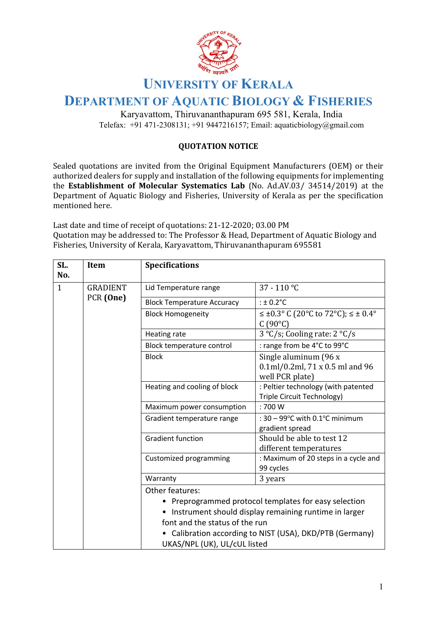

## **UNIVERSITY OF KERALA**

## **DEPARTMENT OF AQUATIC BIOLOGY & FISHERIES**

Karyavattom, Thiruvananthapuram 695 581, Kerala, India Telefax: +91 471-2308131; +91 9447216157; Email: aquaticbiology@gmail.com

## **QUOTATION NOTICE**

Sealed quotations are invited from the Original Equipment Manufacturers (OEM) or their authorized dealers for supply and installation of the following equipments for implementing the Establishment of Molecular Systematics Lab (No. Ad.AV.03/ 34514/2019) at the Department of Aquatic Biology and Fisheries, University of Kerala as per the specification mentioned here.

Last date and time of receipt of quotations: 21-12-2020; 03.00 PM Quotation may be addressed to: The Professor & Head, Department of Aquatic Biology and Fisheries, University of Kerala, Karyavattom, Thiruvananthapuram 695581

| SL.<br>No. | Item                         | <b>Specifications</b>                                          |                                                                                                                   |
|------------|------------------------------|----------------------------------------------------------------|-------------------------------------------------------------------------------------------------------------------|
| 1          | <b>GRADIENT</b><br>PCR (One) | Lid Temperature range                                          | 37 - 110 °C                                                                                                       |
|            |                              | <b>Block Temperature Accuracy</b>                              | : $\pm$ 0.2 $^{\circ}$ C                                                                                          |
|            |                              | <b>Block Homogeneity</b>                                       | $\leq \pm 0.3$ ° C (20°C to 72°C); ≤ ± 0.4°<br>$C(90^{\circ}C)$                                                   |
|            |                              | Heating rate                                                   | $3 °C/s$ ; Cooling rate: $2 °C/s$                                                                                 |
|            |                              | Block temperature control                                      | : range from be 4°C to 99°C                                                                                       |
|            |                              | <b>Block</b>                                                   | Single aluminum (96 x<br>0.1ml/0.2ml, 71 x 0.5 ml and 96<br>well PCR plate)                                       |
|            |                              | Heating and cooling of block                                   | : Peltier technology (with patented<br>Triple Circuit Technology)                                                 |
|            |                              | Maximum power consumption                                      | :700W                                                                                                             |
|            |                              | Gradient temperature range                                     | : $30 - 99$ °C with 0.1°C minimum<br>gradient spread                                                              |
|            |                              | <b>Gradient function</b>                                       | Should be able to test 12<br>different temperatures                                                               |
|            |                              | Customized programming                                         | : Maximum of 20 steps in a cycle and<br>99 cycles                                                                 |
|            |                              | Warranty                                                       | 3 years                                                                                                           |
|            |                              | Other features:                                                |                                                                                                                   |
|            |                              |                                                                | Preprogrammed protocol templates for easy selection                                                               |
|            |                              |                                                                |                                                                                                                   |
|            |                              |                                                                |                                                                                                                   |
|            |                              |                                                                |                                                                                                                   |
|            |                              | font and the status of the run<br>UKAS/NPL (UK), UL/cUL listed | Instrument should display remaining runtime in larger<br>• Calibration according to NIST (USA), DKD/PTB (Germany) |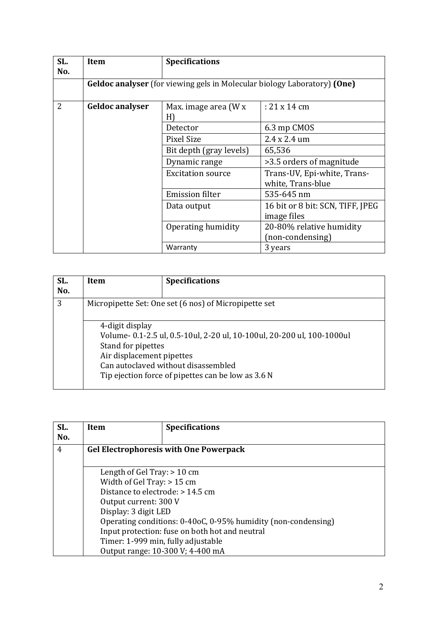| SL.<br>No.     | <b>Item</b>            | <b>Specifications</b>                                                           |                                                  |
|----------------|------------------------|---------------------------------------------------------------------------------|--------------------------------------------------|
|                |                        | <b>Geldoc analyser</b> (for viewing gels in Molecular biology Laboratory) (One) |                                                  |
| $\overline{2}$ | <b>Geldoc analyser</b> | Max. image area (W x<br>H)                                                      | $: 21 \times 14$ cm                              |
|                |                        | Detector                                                                        | 6.3 mp CMOS                                      |
|                |                        | Pixel Size                                                                      | $2.4 \times 2.4$ um                              |
|                |                        | Bit depth (gray levels)                                                         | 65,536                                           |
|                |                        | Dynamic range                                                                   | >3.5 orders of magnitude                         |
|                |                        | <b>Excitation source</b>                                                        | Trans-UV, Epi-white, Trans-<br>white, Trans-blue |
|                |                        | <b>Emission filter</b>                                                          | 535-645 nm                                       |
|                |                        | Data output                                                                     | 16 bit or 8 bit: SCN, TIFF, JPEG<br>image files  |
|                |                        | Operating humidity                                                              | 20-80% relative humidity                         |
|                |                        |                                                                                 | (non-condensing)                                 |
|                |                        | Warranty                                                                        | 3 years                                          |

| SL.<br>No. | Item                                                               | <b>Specifications</b>                                                                                                                                               |
|------------|--------------------------------------------------------------------|---------------------------------------------------------------------------------------------------------------------------------------------------------------------|
| 3          | Micropipette Set: One set (6 nos) of Micropipette set              |                                                                                                                                                                     |
|            | 4-digit display<br>Stand for pipettes<br>Air displacement pipettes | Volume- 0.1-2.5 ul, 0.5-10ul, 2-20 ul, 10-100ul, 20-200 ul, 100-1000ul<br>Can autoclaved without disassembled<br>Tip ejection force of pipettes can be low as 3.6 N |

| SL. | <b>Item</b>                      | <b>Specifications</b>                                         |
|-----|----------------------------------|---------------------------------------------------------------|
| No. |                                  |                                                               |
| 4   |                                  | <b>Gel Electrophoresis with One Powerpack</b>                 |
|     |                                  |                                                               |
|     | Length of Gel Tray: $> 10$ cm    |                                                               |
|     | Width of Gel Tray: $> 15$ cm     |                                                               |
|     | Distance to electrode: > 14.5 cm |                                                               |
|     | Output current: 300 V            |                                                               |
|     | Display: 3 digit LED             |                                                               |
|     |                                  | Operating conditions: 0-40oC, 0-95% humidity (non-condensing) |
|     |                                  | Input protection: fuse on both hot and neutral                |
|     |                                  | Timer: 1-999 min, fully adjustable                            |
|     |                                  | Output range: 10-300 V; 4-400 mA                              |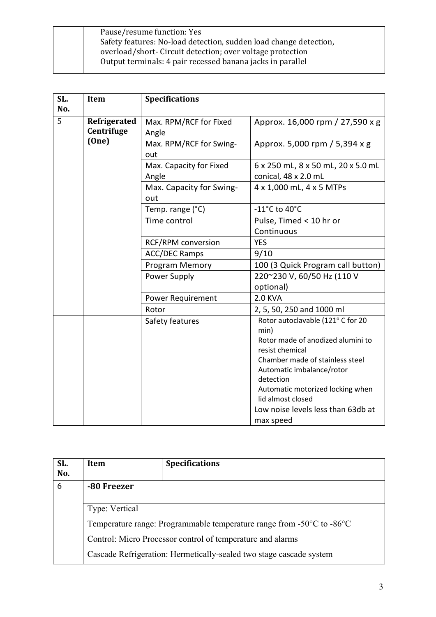| Pause/resume function: Yes                                        |
|-------------------------------------------------------------------|
| Safety features: No-load detection, sudden load change detection, |
| overload/short- Circuit detection; over voltage protection        |
| Output terminals: 4 pair recessed banana jacks in parallel        |
|                                                                   |

| SL. | <b>Item</b>  | <b>Specifications</b>     |                                        |
|-----|--------------|---------------------------|----------------------------------------|
| No. |              |                           |                                        |
| 5   | Refrigerated | Max. RPM/RCF for Fixed    | Approx. 16,000 rpm / 27,590 x g        |
|     | Centrifuge   | Angle                     |                                        |
|     | (One)        | Max. RPM/RCF for Swing-   | Approx. 5,000 rpm / 5,394 x g          |
|     |              | out                       |                                        |
|     |              | Max. Capacity for Fixed   | 6 x 250 mL, 8 x 50 mL, 20 x 5.0 mL     |
|     |              | Angle                     | conical, 48 x 2.0 mL                   |
|     |              | Max. Capacity for Swing-  | 4 x 1,000 mL, 4 x 5 MTPs               |
|     |              | out                       |                                        |
|     |              | Temp. range (°C)          | -11 $^{\circ}$ C to 40 $^{\circ}$ C    |
|     |              | Time control              | Pulse, Timed < 10 hr or                |
|     |              |                           | Continuous                             |
|     |              | <b>RCF/RPM</b> conversion | <b>YES</b>                             |
|     |              | <b>ACC/DEC Ramps</b>      | 9/10                                   |
|     |              | Program Memory            | 100 (3 Quick Program call button)      |
|     |              | Power Supply              | 220~230 V, 60/50 Hz (110 V             |
|     |              |                           | optional)                              |
|     |              | Power Requirement         | <b>2.0 KVA</b>                         |
|     |              | Rotor                     | 2, 5, 50, 250 and 1000 ml              |
|     |              | Safety features           | Rotor autoclavable (121° C for 20      |
|     |              |                           | min)                                   |
|     |              |                           | Rotor made of anodized alumini to      |
|     |              |                           | resist chemical                        |
|     |              |                           | Chamber made of stainless steel        |
|     |              |                           | Automatic imbalance/rotor<br>detection |
|     |              |                           | Automatic motorized locking when       |
|     |              |                           | lid almost closed                      |
|     |              |                           | Low noise levels less than 63db at     |
|     |              |                           | max speed                              |

| SL.<br>No. | Item           | <b>Specifications</b>                                                                       |  |
|------------|----------------|---------------------------------------------------------------------------------------------|--|
| 6          | -80 Freezer    |                                                                                             |  |
|            | Type: Vertical |                                                                                             |  |
|            |                | Temperature range: Programmable temperature range from -50 $^{\circ}$ C to -86 $^{\circ}$ C |  |
|            |                | Control: Micro Processor control of temperature and alarms                                  |  |
|            |                | Cascade Refrigeration: Hermetically-sealed two stage cascade system                         |  |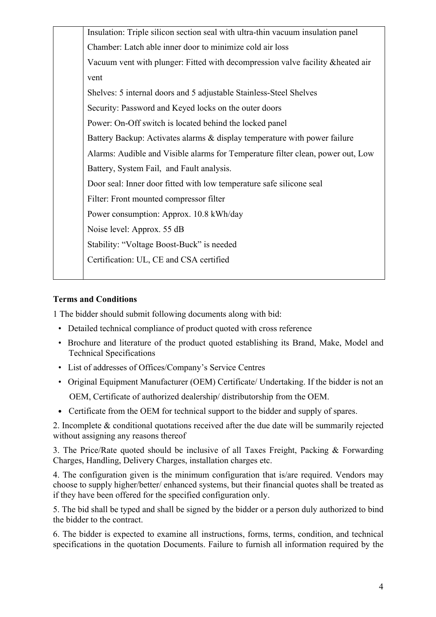| Insulation: Triple silicon section seal with ultra-thin vacuum insulation panel |
|---------------------------------------------------------------------------------|
| Chamber: Latch able inner door to minimize cold air loss                        |
| Vacuum vent with plunger: Fitted with decompression valve facility & heated air |
| vent                                                                            |
| Shelves: 5 internal doors and 5 adjustable Stainless-Steel Shelves              |
| Security: Password and Keyed locks on the outer doors                           |
| Power: On-Off switch is located behind the locked panel                         |
| Battery Backup: Activates alarms & display temperature with power failure       |
| Alarms: Audible and Visible alarms for Temperature filter clean, power out, Low |
| Battery, System Fail, and Fault analysis.                                       |
| Door seal: Inner door fitted with low temperature safe silicone seal            |
| Filter: Front mounted compressor filter                                         |
| Power consumption: Approx. 10.8 kWh/day                                         |
| Noise level: Approx. 55 dB                                                      |
| Stability: "Voltage Boost-Buck" is needed                                       |
| Certification: UL, CE and CSA certified                                         |
|                                                                                 |

## **Terms and Conditions**

1 The bidder should submit following documents along with bid:

- Detailed technical compliance of product quoted with cross reference
- Brochure and literature of the product quoted establishing its Brand, Make, Model and Technical Specifications
- List of addresses of Offices/Company's Service Centres
- Original Equipment Manufacturer (OEM) Certificate/ Undertaking. If the bidder is not an OEM, Certificate of authorized dealership/ distributorship from the OEM.
- Certificate from the OEM for technical support to the bidder and supply of spares.

2. Incomplete & conditional quotations received after the due date will be summarily rejected without assigning any reasons thereof

3. The Price/Rate quoted should be inclusive of all Taxes Freight, Packing & Forwarding Charges, Handling, Delivery Charges, installation charges etc.

4. The configuration given is the minimum configuration that is/are required. Vendors may choose to supply higher/better/ enhanced systems, but their financial quotes shall be treated as if they have been offered for the specified configuration only.

5. The bid shall be typed and shall be signed by the bidder or a person duly authorized to bind the bidder to the contract.

6. The bidder is expected to examine all instructions, forms, terms, condition, and technical specifications in the quotation Documents. Failure to furnish all information required by the